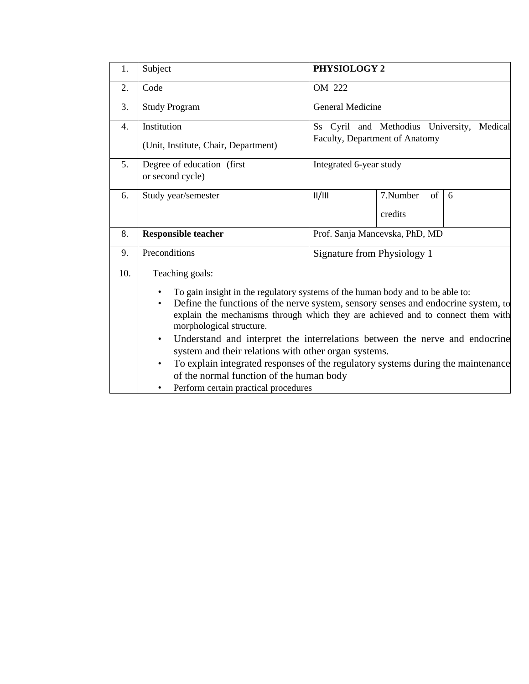| Subject                                                 | PHYSIOLOGY 2                                  |                                                                                  |                                                                                                                                                                                                                                                                                                                                                                                                                                                                                   |  |  |
|---------------------------------------------------------|-----------------------------------------------|----------------------------------------------------------------------------------|-----------------------------------------------------------------------------------------------------------------------------------------------------------------------------------------------------------------------------------------------------------------------------------------------------------------------------------------------------------------------------------------------------------------------------------------------------------------------------------|--|--|
| Code                                                    | OM 222                                        |                                                                                  |                                                                                                                                                                                                                                                                                                                                                                                                                                                                                   |  |  |
| <b>Study Program</b>                                    | General Medicine                              |                                                                                  |                                                                                                                                                                                                                                                                                                                                                                                                                                                                                   |  |  |
| Institution                                             | Ss Cyril and Methodius University,<br>Medical |                                                                                  |                                                                                                                                                                                                                                                                                                                                                                                                                                                                                   |  |  |
| (Unit, Institute, Chair, Department)                    | Faculty, Department of Anatomy                |                                                                                  |                                                                                                                                                                                                                                                                                                                                                                                                                                                                                   |  |  |
| Degree of education (first<br>or second cycle)          | Integrated 6-year study                       |                                                                                  |                                                                                                                                                                                                                                                                                                                                                                                                                                                                                   |  |  |
| Study year/semester                                     | II/III                                        | 7.Number<br>of                                                                   | 6                                                                                                                                                                                                                                                                                                                                                                                                                                                                                 |  |  |
|                                                         |                                               | credits                                                                          |                                                                                                                                                                                                                                                                                                                                                                                                                                                                                   |  |  |
| <b>Responsible teacher</b>                              | Prof. Sanja Mancevska, PhD, MD                |                                                                                  |                                                                                                                                                                                                                                                                                                                                                                                                                                                                                   |  |  |
| Preconditions                                           | Signature from Physiology 1                   |                                                                                  |                                                                                                                                                                                                                                                                                                                                                                                                                                                                                   |  |  |
| Teaching goals:                                         |                                               |                                                                                  |                                                                                                                                                                                                                                                                                                                                                                                                                                                                                   |  |  |
| $\bullet$<br>morphological structure.<br>$\bullet$<br>٠ |                                               |                                                                                  |                                                                                                                                                                                                                                                                                                                                                                                                                                                                                   |  |  |
|                                                         |                                               | of the normal function of the human body<br>Perform certain practical procedures | To gain insight in the regulatory systems of the human body and to be able to:<br>Define the functions of the nerve system, sensory senses and endocrine system, to<br>explain the mechanisms through which they are achieved and to connect them with<br>Understand and interpret the interrelations between the nerve and endocrine<br>system and their relations with other organ systems.<br>To explain integrated responses of the regulatory systems during the maintenance |  |  |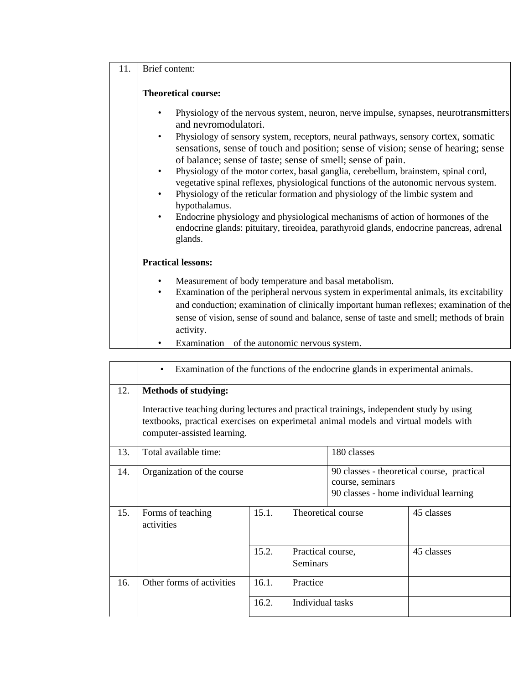## 11. Brief content:

## **Theoretical course:**

- Physiology of the nervous system, neuron, nerve impulse, synapses, neurotransmitters and nevromodulatori.
- Physiology of sensory system, receptors, neural pathways, sensory cortex, somatic sensations, sense of touch and position; sense of vision; sense of hearing; sense of balance; sense of taste; sense of smell; sense of pain.
- Physiology of the motor cortex, basal ganglia, cerebellum, brainstem, spinal cord, vegetative spinal reflexes, physiological functions of the autonomic nervous system.
- Physiology of the reticular formation and physiology of the limbic system and hypothalamus.
- Endocrine physiology and physiological mechanisms of action of hormones of the endocrine glands: pituitary, tireoidea, parathyroid glands, endocrine pancreas, adrenal glands.

## **Practical lessons:**

- Measurement of body temperature and basal metabolism.
- Examination of the peripheral nervous system in experimental animals, its excitability and conduction; examination of clinically important human reflexes; examination of the sense of vision, sense of sound and balance, sense of taste and smell; methods of brain activity.
- Examination of the autonomic nervous system.

|     | Examination of the functions of the endocrine glands in experimental animals.<br>$\bullet$                                                                                                                                                    |       |                               |                                                                                                         |            |  |
|-----|-----------------------------------------------------------------------------------------------------------------------------------------------------------------------------------------------------------------------------------------------|-------|-------------------------------|---------------------------------------------------------------------------------------------------------|------------|--|
| 12. | <b>Methods of studying:</b><br>Interactive teaching during lectures and practical trainings, independent study by using<br>textbooks, practical exercises on experimetal animal models and virtual models with<br>computer-assisted learning. |       |                               |                                                                                                         |            |  |
| 13. | Total available time:                                                                                                                                                                                                                         |       |                               | 180 classes                                                                                             |            |  |
| 14. | Organization of the course                                                                                                                                                                                                                    |       |                               | 90 classes - theoretical course, practical<br>course, seminars<br>90 classes - home individual learning |            |  |
| 15. | Forms of teaching<br>activities                                                                                                                                                                                                               | 15.1. | Theoretical course            |                                                                                                         | 45 classes |  |
|     |                                                                                                                                                                                                                                               | 15.2. | Practical course,<br>Seminars |                                                                                                         | 45 classes |  |
| 16. | Other forms of activities                                                                                                                                                                                                                     | 16.1. | Practice                      |                                                                                                         |            |  |
|     |                                                                                                                                                                                                                                               | 16.2. | Individual tasks              |                                                                                                         |            |  |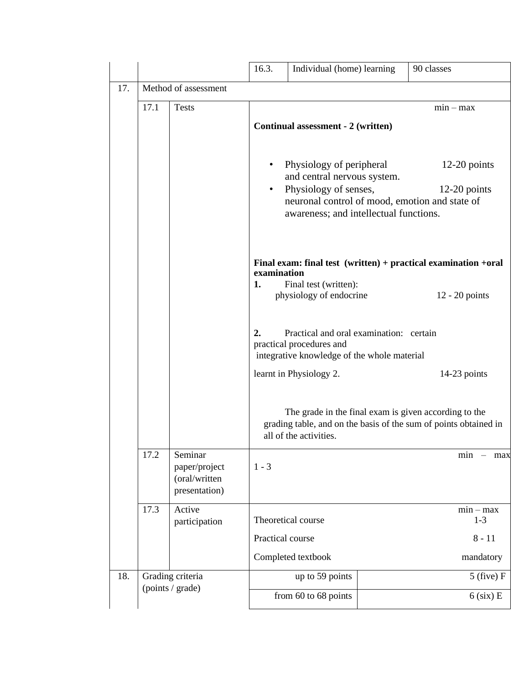|     |                  |                                | 16.3.                                                                     | Individual (home) learning                                                                             |  | 90 classes                                                       |  |  |  |  |
|-----|------------------|--------------------------------|---------------------------------------------------------------------------|--------------------------------------------------------------------------------------------------------|--|------------------------------------------------------------------|--|--|--|--|
| 17. |                  | Method of assessment           |                                                                           |                                                                                                        |  |                                                                  |  |  |  |  |
|     | 17.1             | <b>Tests</b>                   |                                                                           |                                                                                                        |  | $min - max$                                                      |  |  |  |  |
|     |                  |                                |                                                                           | Continual assessment - 2 (written)                                                                     |  |                                                                  |  |  |  |  |
|     |                  |                                |                                                                           |                                                                                                        |  |                                                                  |  |  |  |  |
|     |                  |                                |                                                                           | Physiology of peripheral                                                                               |  | $12-20$ points                                                   |  |  |  |  |
|     |                  |                                |                                                                           | and central nervous system.                                                                            |  |                                                                  |  |  |  |  |
|     |                  |                                |                                                                           | Physiology of senses,<br>$12-20$ points<br>$\bullet$<br>neuronal control of mood, emotion and state of |  |                                                                  |  |  |  |  |
|     |                  |                                |                                                                           | awareness; and intellectual functions.                                                                 |  |                                                                  |  |  |  |  |
|     |                  |                                |                                                                           |                                                                                                        |  |                                                                  |  |  |  |  |
|     |                  |                                |                                                                           |                                                                                                        |  |                                                                  |  |  |  |  |
|     |                  |                                | examination                                                               |                                                                                                        |  | Final exam: final test $(written) + practical examination +oral$ |  |  |  |  |
|     |                  |                                | 1.                                                                        | Final test (written):<br>physiology of endocrine                                                       |  | $12 - 20$ points                                                 |  |  |  |  |
|     |                  |                                |                                                                           |                                                                                                        |  |                                                                  |  |  |  |  |
|     |                  |                                |                                                                           |                                                                                                        |  |                                                                  |  |  |  |  |
|     |                  |                                | 2.<br>Practical and oral examination: certain<br>practical procedures and |                                                                                                        |  |                                                                  |  |  |  |  |
|     |                  |                                |                                                                           | integrative knowledge of the whole material                                                            |  |                                                                  |  |  |  |  |
|     |                  |                                |                                                                           | learnt in Physiology 2.                                                                                |  | 14-23 points                                                     |  |  |  |  |
|     |                  |                                |                                                                           |                                                                                                        |  |                                                                  |  |  |  |  |
|     |                  |                                |                                                                           |                                                                                                        |  | The grade in the final exam is given according to the            |  |  |  |  |
|     |                  |                                |                                                                           | all of the activities.                                                                                 |  | grading table, and on the basis of the sum of points obtained in |  |  |  |  |
|     | 17.2             | Seminar                        |                                                                           |                                                                                                        |  | min<br>$-$ max                                                   |  |  |  |  |
|     |                  | paper/project                  | $1 - 3$                                                                   |                                                                                                        |  |                                                                  |  |  |  |  |
|     |                  | (oral/written<br>presentation) |                                                                           |                                                                                                        |  |                                                                  |  |  |  |  |
|     | 17.3             | Active                         |                                                                           |                                                                                                        |  | $min - max$                                                      |  |  |  |  |
|     |                  | participation                  |                                                                           | Theoretical course                                                                                     |  | $1-3$                                                            |  |  |  |  |
|     |                  |                                | Practical course                                                          |                                                                                                        |  | $8 - 11$                                                         |  |  |  |  |
|     |                  |                                |                                                                           | Completed textbook                                                                                     |  | mandatory                                                        |  |  |  |  |
| 18. | Grading criteria |                                |                                                                           | up to 59 points                                                                                        |  | $5$ (five) $F$                                                   |  |  |  |  |
|     |                  | (points / grade)               |                                                                           |                                                                                                        |  |                                                                  |  |  |  |  |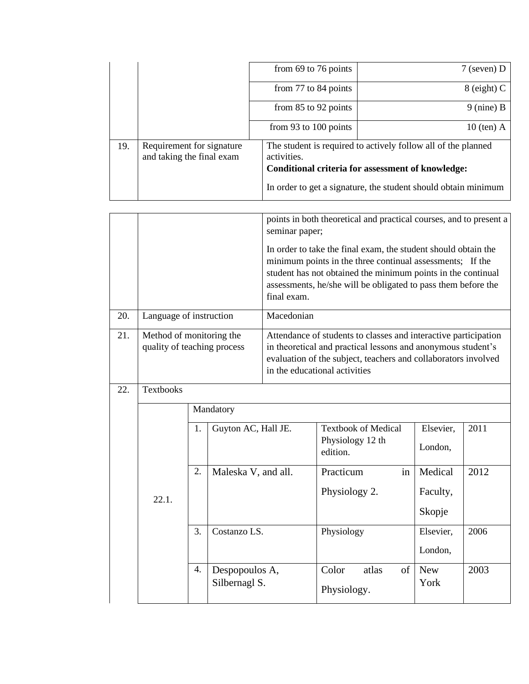|     |                                                        | from $69$ to 76 points                                                                                                                                                                              | $7$ (seven) D |  |  |
|-----|--------------------------------------------------------|-----------------------------------------------------------------------------------------------------------------------------------------------------------------------------------------------------|---------------|--|--|
|     |                                                        | from 77 to 84 points                                                                                                                                                                                | $8$ (eight) C |  |  |
|     |                                                        | from $85$ to $92$ points                                                                                                                                                                            | $9$ (nine) B  |  |  |
|     |                                                        | from 93 to 100 points                                                                                                                                                                               | $10$ (ten) A  |  |  |
| 19. | Requirement for signature<br>and taking the final exam | The student is required to actively follow all of the planned<br>activities.<br>Conditional criteria for assessment of knowledge:<br>In order to get a signature, the student should obtain minimum |               |  |  |

|     |                                                         |                  |                                 | points in both theoretical and practical courses, and to present a<br>seminar paper;                                                                                                                                                                                        |                                                            |                      |      |  |  |
|-----|---------------------------------------------------------|------------------|---------------------------------|-----------------------------------------------------------------------------------------------------------------------------------------------------------------------------------------------------------------------------------------------------------------------------|------------------------------------------------------------|----------------------|------|--|--|
|     |                                                         |                  |                                 | In order to take the final exam, the student should obtain the<br>minimum points in the three continual assessments; If the<br>student has not obtained the minimum points in the continual<br>assessments, he/she will be obligated to pass them before the<br>final exam. |                                                            |                      |      |  |  |
| 20. | Language of instruction                                 |                  |                                 | Macedonian                                                                                                                                                                                                                                                                  |                                                            |                      |      |  |  |
| 21. | Method of monitoring the<br>quality of teaching process |                  |                                 | Attendance of students to classes and interactive participation<br>in theoretical and practical lessons and anonymous student's<br>evaluation of the subject, teachers and collaborators involved<br>in the educational activities                                          |                                                            |                      |      |  |  |
| 22. | <b>Textbooks</b>                                        |                  |                                 |                                                                                                                                                                                                                                                                             |                                                            |                      |      |  |  |
|     | Mandatory                                               |                  |                                 |                                                                                                                                                                                                                                                                             |                                                            |                      |      |  |  |
|     |                                                         | 1.               | Guyton AC, Hall JE.             |                                                                                                                                                                                                                                                                             | <b>Textbook of Medical</b><br>Physiology 12 th<br>edition. | Elsevier,<br>London, | 2011 |  |  |
|     |                                                         | 2.               | Maleska V, and all.             |                                                                                                                                                                                                                                                                             | Practicum<br>in                                            | Medical              | 2012 |  |  |
|     | 22.1.                                                   |                  |                                 |                                                                                                                                                                                                                                                                             | Physiology 2.                                              | Faculty,<br>Skopje   |      |  |  |
|     |                                                         | $\overline{3}$ . | Costanzo LS.                    |                                                                                                                                                                                                                                                                             | Physiology                                                 | Elsevier,<br>London, | 2006 |  |  |
|     |                                                         | 4.               | Despopoulos A,<br>Silbernagl S. |                                                                                                                                                                                                                                                                             | Color<br>atlas<br>of<br>Physiology.                        | <b>New</b><br>York   | 2003 |  |  |